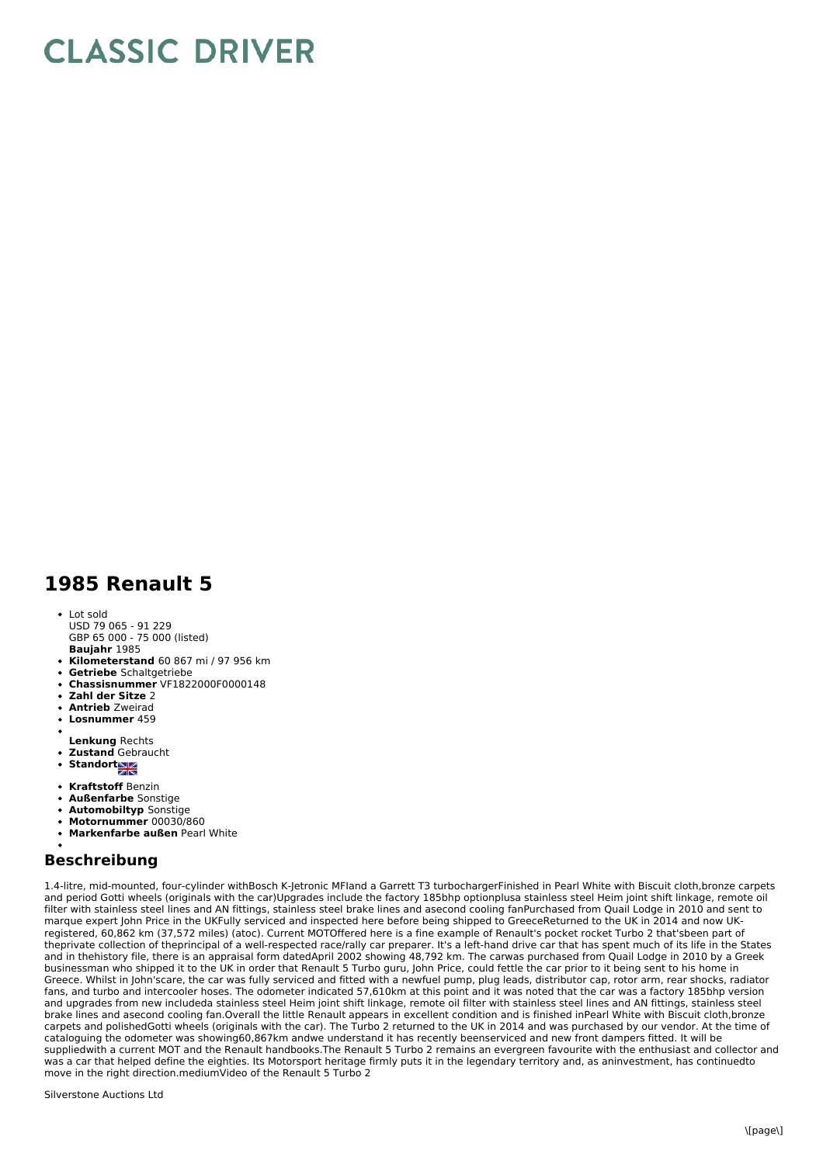## **CLASSIC DRIVER**

## **1985 Renault 5**

- **Baujahr** 1985 • Lot sold USD 79 065 - 91 229 GBP 65 000 - 75 000 (listed)
- **Kilometerstand** 60 867 mi / 97 956 km
- **Getriebe** Schaltgetriebe
- **Chassisnummer** VF1822000F0000148
- **Zahl der Sitze** 2
- **Antrieb** Zweirad
- **Losnummer** 459
- **Lenkung** Rechts
- **Zustand** Gebraucht
- Standort
- **Kraftstoff** Benzin
- **Außenfarbe** Sonstige
- **Automobiltyp** Sonstige
- **Motornummer** 00030/860
- **Markenfarbe außen** Pearl White

## **Beschreibung**

1.4-litre, mid-mounted, four-cylinder withBosch K-Jetronic MFIand a Garrett T3 turbochargerFinished in Pearl White with Biscuit cloth,bronze carpets and period Gotti wheels (originals with the car)Upgrades include the factory 185bhp optionplusa stainless steel Heim joint shift linkage, remote oil filter with stainless steel lines and AN fittings, stainless steel brake lines and asecond cooling fanPurchased from Quail Lodge in 2010 and sent to marque expert John Price in the UKFully serviced and inspected here before being shipped to GreeceReturned to the UK in 2014 and now UKregistered, 60,862 km (37,572 miles) (atoc). Current MOTOffered here is a fine example of Renault's pocket rocket Turbo 2 that'sbeen part of theprivate collection of theprincipal of a well-respected race/rally car preparer. It's a left-hand drive car that has spent much of its life in the States and in thehistory file, there is an appraisal form datedApril 2002 showing 48,792 km. The carwas purchased from Quail Lodge in 2010 by a Greek businessman who shipped it to the UK in order that Renault 5 Turbo guru, John Price, could fettle the car prior to it being sent to his home in Greece. Whilst in John'scare, the car was fully serviced and fitted with a newfuel pump, plug leads, distributor cap, rotor arm, rear shocks, radiator fans, and turbo and intercooler hoses. The odometer indicated 57,610km at this point and it was noted that the car was a factory 185bhp version and upgrades from new includeda stainless steel Heim joint shift linkage, remote oil filter with stainless steel lines and AN fittings, stainless steel brake lines and asecond cooling fan.Overall the little Renault appears in excellent condition and is finished inPearl White with Biscuit cloth,bronze carpets and polishedGotti wheels (originals with the car). The Turbo 2 returned to the UK in 2014 and was purchased by our vendor. At the time of cataloguing the odometer was showing60,867km andwe understand it has recently beenserviced and new front dampers fitted. It will be suppliedwith a current MOT and the Renault handbooks.The Renault 5 Turbo 2 remains an evergreen favourite with the enthusiast and collector and was a car that helped define the eighties. Its Motorsport heritage firmly puts it in the legendary territory and, as aninvestment, has continuedto move in the right direction.mediumVideo of the Renault 5 Turbo 2

Silverstone Auctions Ltd